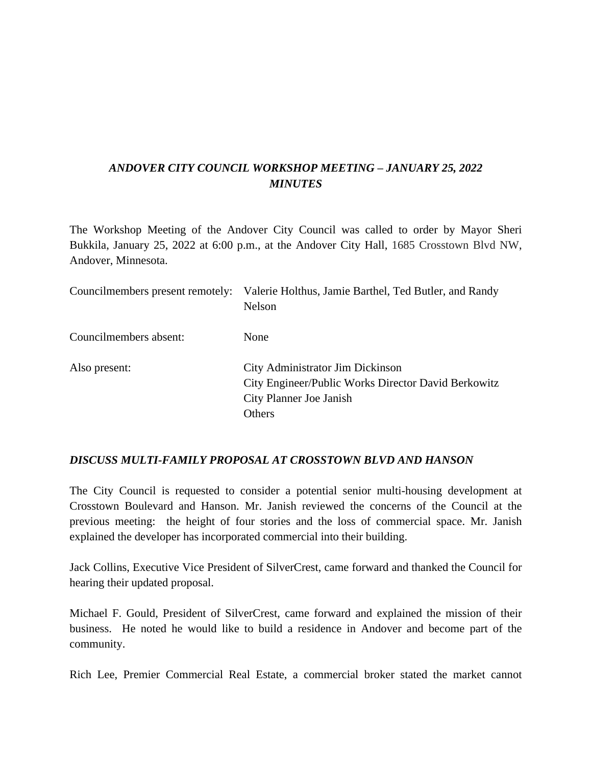# *ANDOVER CITY COUNCIL WORKSHOP MEETING – JANUARY 25, 2022 MINUTES*

The Workshop Meeting of the Andover City Council was called to order by Mayor Sheri Bukkila, January 25, 2022 at 6:00 p.m., at the Andover City Hall, 1685 Crosstown Blvd NW, Andover, Minnesota.

| Councilmembers present remotely: | Valerie Holthus, Jamie Barthel, Ted Butler, and Randy<br>Nelson                                                              |
|----------------------------------|------------------------------------------------------------------------------------------------------------------------------|
| Councilmembers absent:           | None                                                                                                                         |
| Also present:                    | City Administrator Jim Dickinson<br>City Engineer/Public Works Director David Berkowitz<br>City Planner Joe Janish<br>Others |

#### *DISCUSS MULTI-FAMILY PROPOSAL AT CROSSTOWN BLVD AND HANSON*

The City Council is requested to consider a potential senior multi-housing development at Crosstown Boulevard and Hanson. Mr. Janish reviewed the concerns of the Council at the previous meeting: the height of four stories and the loss of commercial space. Mr. Janish explained the developer has incorporated commercial into their building.

Jack Collins, Executive Vice President of SilverCrest, came forward and thanked the Council for hearing their updated proposal.

Michael F. Gould, President of SilverCrest, came forward and explained the mission of their business. He noted he would like to build a residence in Andover and become part of the community.

Rich Lee, Premier Commercial Real Estate, a commercial broker stated the market cannot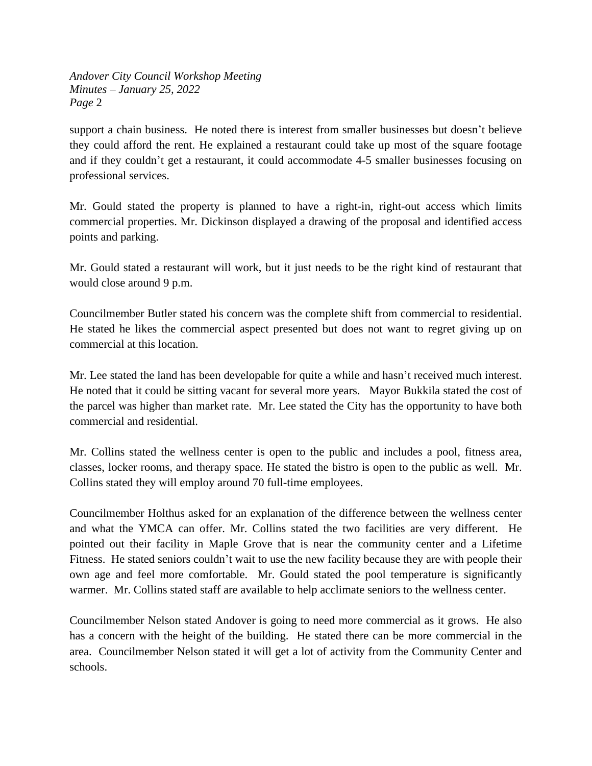support a chain business. He noted there is interest from smaller businesses but doesn't believe they could afford the rent. He explained a restaurant could take up most of the square footage and if they couldn't get a restaurant, it could accommodate 4-5 smaller businesses focusing on professional services.

Mr. Gould stated the property is planned to have a right-in, right-out access which limits commercial properties. Mr. Dickinson displayed a drawing of the proposal and identified access points and parking.

Mr. Gould stated a restaurant will work, but it just needs to be the right kind of restaurant that would close around 9 p.m.

Councilmember Butler stated his concern was the complete shift from commercial to residential. He stated he likes the commercial aspect presented but does not want to regret giving up on commercial at this location.

Mr. Lee stated the land has been developable for quite a while and hasn't received much interest. He noted that it could be sitting vacant for several more years. Mayor Bukkila stated the cost of the parcel was higher than market rate. Mr. Lee stated the City has the opportunity to have both commercial and residential.

Mr. Collins stated the wellness center is open to the public and includes a pool, fitness area, classes, locker rooms, and therapy space. He stated the bistro is open to the public as well. Mr. Collins stated they will employ around 70 full-time employees.

Councilmember Holthus asked for an explanation of the difference between the wellness center and what the YMCA can offer. Mr. Collins stated the two facilities are very different. He pointed out their facility in Maple Grove that is near the community center and a Lifetime Fitness. He stated seniors couldn't wait to use the new facility because they are with people their own age and feel more comfortable. Mr. Gould stated the pool temperature is significantly warmer. Mr. Collins stated staff are available to help acclimate seniors to the wellness center.

Councilmember Nelson stated Andover is going to need more commercial as it grows. He also has a concern with the height of the building. He stated there can be more commercial in the area. Councilmember Nelson stated it will get a lot of activity from the Community Center and schools.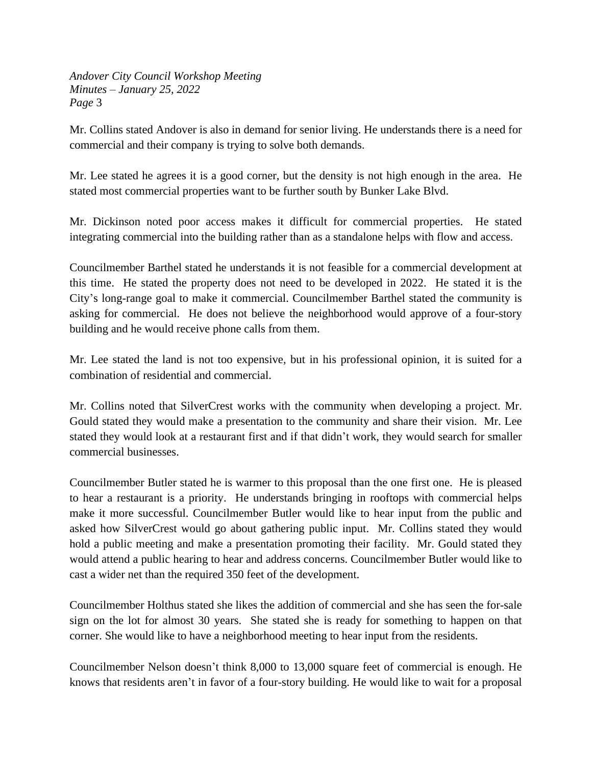Mr. Collins stated Andover is also in demand for senior living. He understands there is a need for commercial and their company is trying to solve both demands.

Mr. Lee stated he agrees it is a good corner, but the density is not high enough in the area. He stated most commercial properties want to be further south by Bunker Lake Blvd.

Mr. Dickinson noted poor access makes it difficult for commercial properties. He stated integrating commercial into the building rather than as a standalone helps with flow and access.

Councilmember Barthel stated he understands it is not feasible for a commercial development at this time. He stated the property does not need to be developed in 2022. He stated it is the City's long-range goal to make it commercial. Councilmember Barthel stated the community is asking for commercial. He does not believe the neighborhood would approve of a four-story building and he would receive phone calls from them.

Mr. Lee stated the land is not too expensive, but in his professional opinion, it is suited for a combination of residential and commercial.

Mr. Collins noted that SilverCrest works with the community when developing a project. Mr. Gould stated they would make a presentation to the community and share their vision. Mr. Lee stated they would look at a restaurant first and if that didn't work, they would search for smaller commercial businesses.

Councilmember Butler stated he is warmer to this proposal than the one first one. He is pleased to hear a restaurant is a priority. He understands bringing in rooftops with commercial helps make it more successful. Councilmember Butler would like to hear input from the public and asked how SilverCrest would go about gathering public input. Mr. Collins stated they would hold a public meeting and make a presentation promoting their facility. Mr. Gould stated they would attend a public hearing to hear and address concerns. Councilmember Butler would like to cast a wider net than the required 350 feet of the development.

Councilmember Holthus stated she likes the addition of commercial and she has seen the for-sale sign on the lot for almost 30 years. She stated she is ready for something to happen on that corner. She would like to have a neighborhood meeting to hear input from the residents.

Councilmember Nelson doesn't think 8,000 to 13,000 square feet of commercial is enough. He knows that residents aren't in favor of a four-story building. He would like to wait for a proposal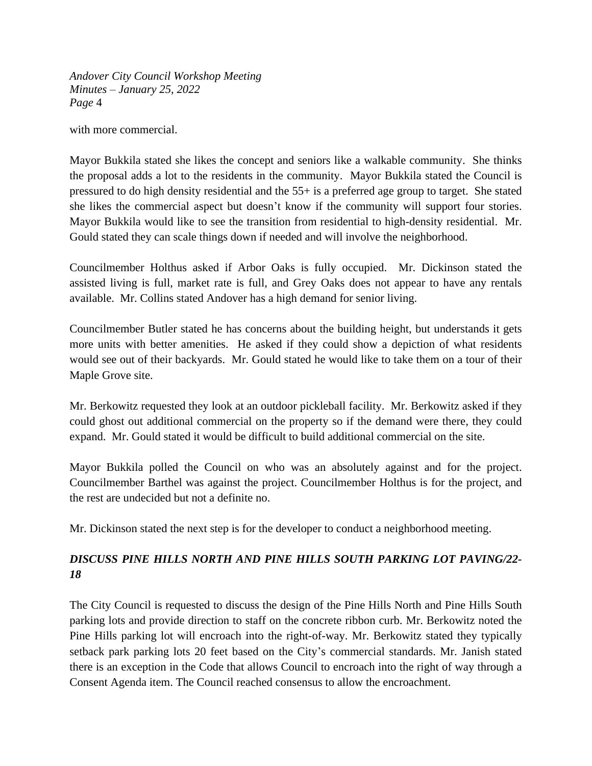with more commercial.

Mayor Bukkila stated she likes the concept and seniors like a walkable community. She thinks the proposal adds a lot to the residents in the community. Mayor Bukkila stated the Council is pressured to do high density residential and the 55+ is a preferred age group to target. She stated she likes the commercial aspect but doesn't know if the community will support four stories. Mayor Bukkila would like to see the transition from residential to high-density residential. Mr. Gould stated they can scale things down if needed and will involve the neighborhood.

Councilmember Holthus asked if Arbor Oaks is fully occupied. Mr. Dickinson stated the assisted living is full, market rate is full, and Grey Oaks does not appear to have any rentals available. Mr. Collins stated Andover has a high demand for senior living.

Councilmember Butler stated he has concerns about the building height, but understands it gets more units with better amenities. He asked if they could show a depiction of what residents would see out of their backyards. Mr. Gould stated he would like to take them on a tour of their Maple Grove site.

Mr. Berkowitz requested they look at an outdoor pickleball facility. Mr. Berkowitz asked if they could ghost out additional commercial on the property so if the demand were there, they could expand. Mr. Gould stated it would be difficult to build additional commercial on the site.

Mayor Bukkila polled the Council on who was an absolutely against and for the project. Councilmember Barthel was against the project. Councilmember Holthus is for the project, and the rest are undecided but not a definite no.

Mr. Dickinson stated the next step is for the developer to conduct a neighborhood meeting.

# *DISCUSS PINE HILLS NORTH AND PINE HILLS SOUTH PARKING LOT PAVING/22- 18*

The City Council is requested to discuss the design of the Pine Hills North and Pine Hills South parking lots and provide direction to staff on the concrete ribbon curb. Mr. Berkowitz noted the Pine Hills parking lot will encroach into the right-of-way. Mr. Berkowitz stated they typically setback park parking lots 20 feet based on the City's commercial standards. Mr. Janish stated there is an exception in the Code that allows Council to encroach into the right of way through a Consent Agenda item. The Council reached consensus to allow the encroachment.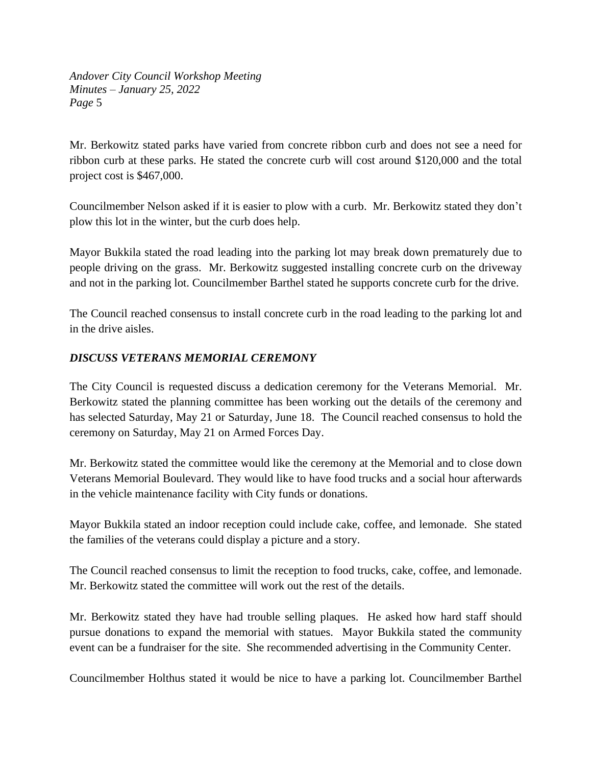Mr. Berkowitz stated parks have varied from concrete ribbon curb and does not see a need for ribbon curb at these parks. He stated the concrete curb will cost around \$120,000 and the total project cost is \$467,000.

Councilmember Nelson asked if it is easier to plow with a curb. Mr. Berkowitz stated they don't plow this lot in the winter, but the curb does help.

Mayor Bukkila stated the road leading into the parking lot may break down prematurely due to people driving on the grass. Mr. Berkowitz suggested installing concrete curb on the driveway and not in the parking lot. Councilmember Barthel stated he supports concrete curb for the drive.

The Council reached consensus to install concrete curb in the road leading to the parking lot and in the drive aisles.

## *DISCUSS VETERANS MEMORIAL CEREMONY*

The City Council is requested discuss a dedication ceremony for the Veterans Memorial. Mr. Berkowitz stated the planning committee has been working out the details of the ceremony and has selected Saturday, May 21 or Saturday, June 18. The Council reached consensus to hold the ceremony on Saturday, May 21 on Armed Forces Day.

Mr. Berkowitz stated the committee would like the ceremony at the Memorial and to close down Veterans Memorial Boulevard. They would like to have food trucks and a social hour afterwards in the vehicle maintenance facility with City funds or donations.

Mayor Bukkila stated an indoor reception could include cake, coffee, and lemonade. She stated the families of the veterans could display a picture and a story.

The Council reached consensus to limit the reception to food trucks, cake, coffee, and lemonade. Mr. Berkowitz stated the committee will work out the rest of the details.

Mr. Berkowitz stated they have had trouble selling plaques. He asked how hard staff should pursue donations to expand the memorial with statues. Mayor Bukkila stated the community event can be a fundraiser for the site. She recommended advertising in the Community Center.

Councilmember Holthus stated it would be nice to have a parking lot. Councilmember Barthel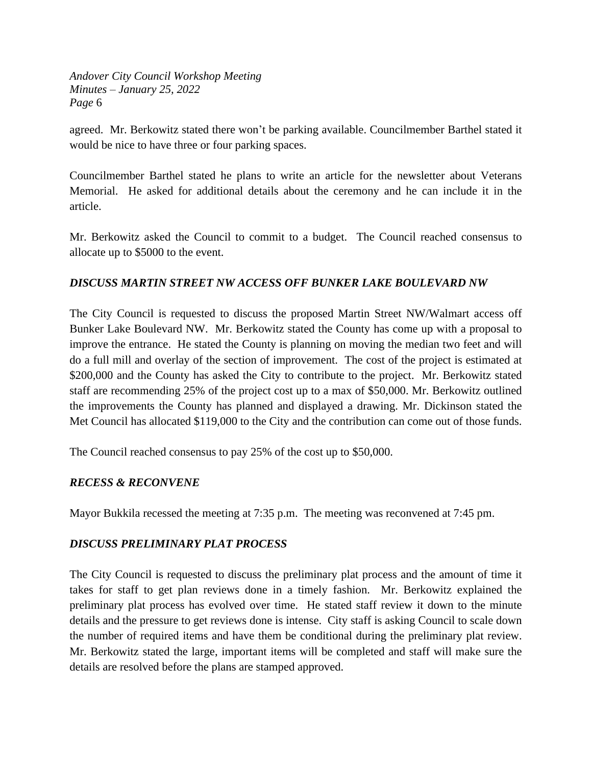agreed. Mr. Berkowitz stated there won't be parking available. Councilmember Barthel stated it would be nice to have three or four parking spaces.

Councilmember Barthel stated he plans to write an article for the newsletter about Veterans Memorial. He asked for additional details about the ceremony and he can include it in the article.

Mr. Berkowitz asked the Council to commit to a budget. The Council reached consensus to allocate up to \$5000 to the event.

## *DISCUSS MARTIN STREET NW ACCESS OFF BUNKER LAKE BOULEVARD NW*

The City Council is requested to discuss the proposed Martin Street NW/Walmart access off Bunker Lake Boulevard NW. Mr. Berkowitz stated the County has come up with a proposal to improve the entrance. He stated the County is planning on moving the median two feet and will do a full mill and overlay of the section of improvement. The cost of the project is estimated at \$200,000 and the County has asked the City to contribute to the project. Mr. Berkowitz stated staff are recommending 25% of the project cost up to a max of \$50,000. Mr. Berkowitz outlined the improvements the County has planned and displayed a drawing. Mr. Dickinson stated the Met Council has allocated \$119,000 to the City and the contribution can come out of those funds.

The Council reached consensus to pay 25% of the cost up to \$50,000.

#### *RECESS & RECONVENE*

Mayor Bukkila recessed the meeting at 7:35 p.m. The meeting was reconvened at 7:45 pm.

#### *DISCUSS PRELIMINARY PLAT PROCESS*

The City Council is requested to discuss the preliminary plat process and the amount of time it takes for staff to get plan reviews done in a timely fashion. Mr. Berkowitz explained the preliminary plat process has evolved over time. He stated staff review it down to the minute details and the pressure to get reviews done is intense. City staff is asking Council to scale down the number of required items and have them be conditional during the preliminary plat review. Mr. Berkowitz stated the large, important items will be completed and staff will make sure the details are resolved before the plans are stamped approved.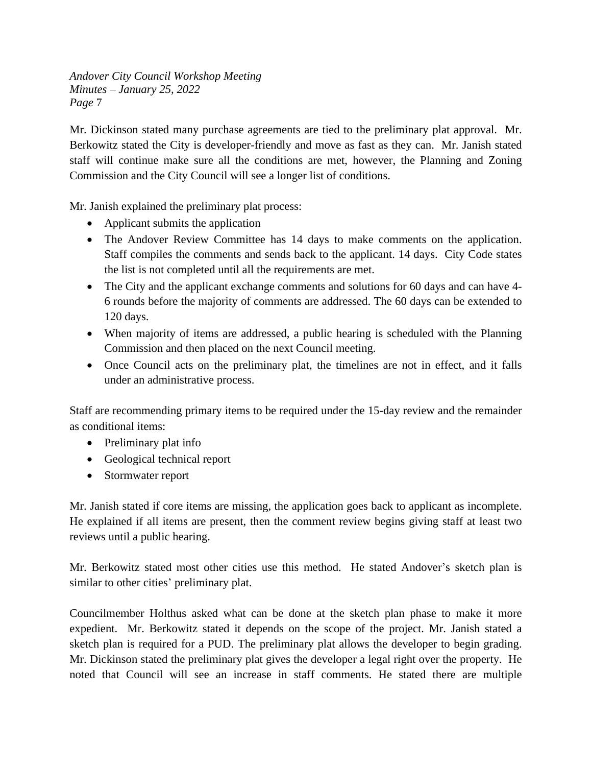Mr. Dickinson stated many purchase agreements are tied to the preliminary plat approval. Mr. Berkowitz stated the City is developer-friendly and move as fast as they can. Mr. Janish stated staff will continue make sure all the conditions are met, however, the Planning and Zoning Commission and the City Council will see a longer list of conditions.

Mr. Janish explained the preliminary plat process:

- Applicant submits the application
- The Andover Review Committee has 14 days to make comments on the application. Staff compiles the comments and sends back to the applicant. 14 days. City Code states the list is not completed until all the requirements are met.
- The City and the applicant exchange comments and solutions for 60 days and can have 4-6 rounds before the majority of comments are addressed. The 60 days can be extended to 120 days.
- When majority of items are addressed, a public hearing is scheduled with the Planning Commission and then placed on the next Council meeting.
- Once Council acts on the preliminary plat, the timelines are not in effect, and it falls under an administrative process.

Staff are recommending primary items to be required under the 15-day review and the remainder as conditional items:

- Preliminary plat info
- Geological technical report
- Stormwater report

Mr. Janish stated if core items are missing, the application goes back to applicant as incomplete. He explained if all items are present, then the comment review begins giving staff at least two reviews until a public hearing.

Mr. Berkowitz stated most other cities use this method. He stated Andover's sketch plan is similar to other cities' preliminary plat.

Councilmember Holthus asked what can be done at the sketch plan phase to make it more expedient. Mr. Berkowitz stated it depends on the scope of the project. Mr. Janish stated a sketch plan is required for a PUD. The preliminary plat allows the developer to begin grading. Mr. Dickinson stated the preliminary plat gives the developer a legal right over the property. He noted that Council will see an increase in staff comments. He stated there are multiple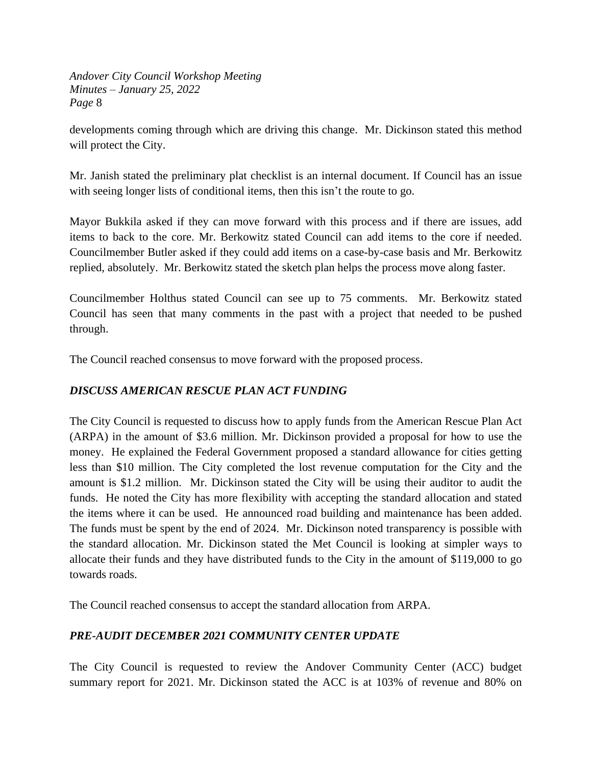developments coming through which are driving this change. Mr. Dickinson stated this method will protect the City.

Mr. Janish stated the preliminary plat checklist is an internal document. If Council has an issue with seeing longer lists of conditional items, then this isn't the route to go.

Mayor Bukkila asked if they can move forward with this process and if there are issues, add items to back to the core. Mr. Berkowitz stated Council can add items to the core if needed. Councilmember Butler asked if they could add items on a case-by-case basis and Mr. Berkowitz replied, absolutely. Mr. Berkowitz stated the sketch plan helps the process move along faster.

Councilmember Holthus stated Council can see up to 75 comments. Mr. Berkowitz stated Council has seen that many comments in the past with a project that needed to be pushed through.

The Council reached consensus to move forward with the proposed process.

## *DISCUSS AMERICAN RESCUE PLAN ACT FUNDING*

The City Council is requested to discuss how to apply funds from the American Rescue Plan Act (ARPA) in the amount of \$3.6 million. Mr. Dickinson provided a proposal for how to use the money. He explained the Federal Government proposed a standard allowance for cities getting less than \$10 million. The City completed the lost revenue computation for the City and the amount is \$1.2 million. Mr. Dickinson stated the City will be using their auditor to audit the funds. He noted the City has more flexibility with accepting the standard allocation and stated the items where it can be used. He announced road building and maintenance has been added. The funds must be spent by the end of 2024. Mr. Dickinson noted transparency is possible with the standard allocation. Mr. Dickinson stated the Met Council is looking at simpler ways to allocate their funds and they have distributed funds to the City in the amount of \$119,000 to go towards roads.

The Council reached consensus to accept the standard allocation from ARPA.

#### *PRE-AUDIT DECEMBER 2021 COMMUNITY CENTER UPDATE*

The City Council is requested to review the Andover Community Center (ACC) budget summary report for 2021. Mr. Dickinson stated the ACC is at 103% of revenue and 80% on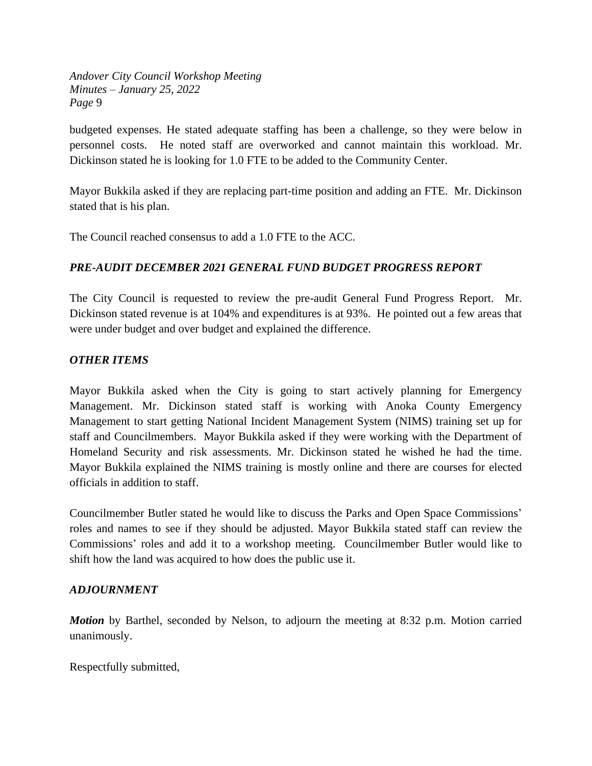budgeted expenses. He stated adequate staffing has been a challenge, so they were below in personnel costs. He noted staff are overworked and cannot maintain this workload. Mr. Dickinson stated he is looking for 1.0 FTE to be added to the Community Center.

Mayor Bukkila asked if they are replacing part-time position and adding an FTE. Mr. Dickinson stated that is his plan.

The Council reached consensus to add a 1.0 FTE to the ACC.

#### *PRE-AUDIT DECEMBER 2021 GENERAL FUND BUDGET PROGRESS REPORT*

The City Council is requested to review the pre-audit General Fund Progress Report. Mr. Dickinson stated revenue is at 104% and expenditures is at 93%. He pointed out a few areas that were under budget and over budget and explained the difference.

#### *OTHER ITEMS*

Mayor Bukkila asked when the City is going to start actively planning for Emergency Management. Mr. Dickinson stated staff is working with Anoka County Emergency Management to start getting National Incident Management System (NIMS) training set up for staff and Councilmembers. Mayor Bukkila asked if they were working with the Department of Homeland Security and risk assessments. Mr. Dickinson stated he wished he had the time. Mayor Bukkila explained the NIMS training is mostly online and there are courses for elected officials in addition to staff.

Councilmember Butler stated he would like to discuss the Parks and Open Space Commissions' roles and names to see if they should be adjusted. Mayor Bukkila stated staff can review the Commissions' roles and add it to a workshop meeting. Councilmember Butler would like to shift how the land was acquired to how does the public use it.

#### *ADJOURNMENT*

*Motion* by Barthel, seconded by Nelson, to adjourn the meeting at 8:32 p.m. Motion carried unanimously.

Respectfully submitted,